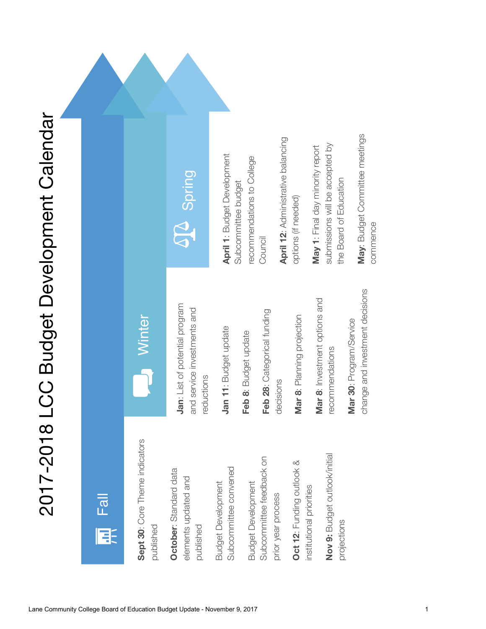# 2017-2018 LCC Budget Development Calendar 2017-2018 LCC Budget Development Calendar

### **April 12**: Administrative balancing **April 12: Administrative balancing** submissions will be accepted by submissions will be accepted by **May 1**: Final day minority report May 1: Final day minority report **April 1**: Budget Development **April 1: Budget Development** recommendations to College recommendations to College **SQC** Spring the Board of Education Subcommittee budget the Board of Education Subcommittee budget options (if needed) options (if needed) Council **Mar 8**: Investment options and Mar 8: Investment options and **Jan**: List of potential program Jan: List of potential program and service investments and and service investments and **Feb 28**: Categorical funding Feb 28: Categorical funding **Mar 8**: Planning projection Mar 8: Planning projection **Minter Mar 30**: Program/Service Mar 30: Program/Service Jan 11: Budget update **Jan 11**: Budget update Feb 8: Budget update **Feb 8**: Budget update recommendations recommendations reductions decisions **Sept 30**: Core Theme indicators Sept 30: Core Theme indicators **Nov 9:** Budget outlook/initial Nov 9: Budget outlook/initial Subcommittee feedback on Subcommittee feedback on **Oct 12**: Funding outlook & Oct 12: Funding outlook & Subcommittee convened **October**: Standard data Subcommittee convened October: Standard data elements updated and elements updated and **Budget Development** Budget Development Budget Development **Budget Development** institutional priorities institutional priorities prior year process Fall prior year process projections published published 耳

**May**: Budget Committee meetings

May: Budget Committee meetings

commence

change and investment decisions

change and investment decisions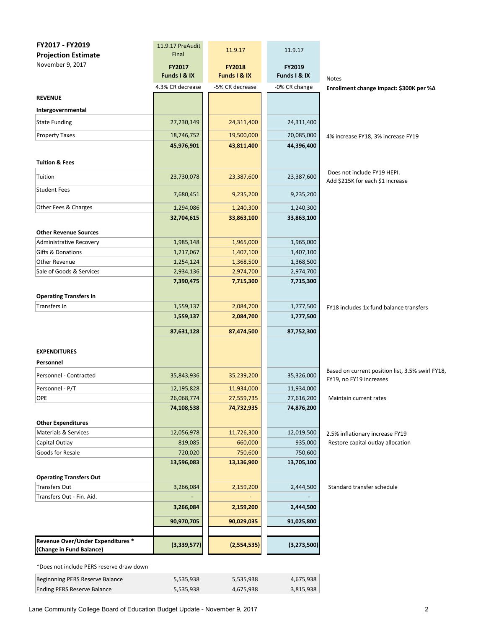| FY2017 - FY2019                   | 11.9.17 PreAudit | 11.9.17         | 11.9.17       |                                                                             |
|-----------------------------------|------------------|-----------------|---------------|-----------------------------------------------------------------------------|
| <b>Projection Estimate</b>        | Final            |                 |               |                                                                             |
| November 9, 2017                  | FY2017           | <b>FY2018</b>   | FY2019        |                                                                             |
|                                   | Funds I & IX     | Funds I & IX    | Funds I & IX  | Notes                                                                       |
|                                   | 4.3% CR decrease | -5% CR decrease | -0% CR change | Enrollment change impact: \$300K per %∆                                     |
| <b>REVENUE</b>                    |                  |                 |               |                                                                             |
| Intergovernmental                 |                  |                 |               |                                                                             |
| <b>State Funding</b>              | 27,230,149       | 24,311,400      | 24,311,400    |                                                                             |
| <b>Property Taxes</b>             | 18,746,752       | 19,500,000      | 20,085,000    | 4% increase FY18, 3% increase FY19                                          |
|                                   | 45,976,901       | 43,811,400      | 44,396,400    |                                                                             |
|                                   |                  |                 |               |                                                                             |
| <b>Tuition &amp; Fees</b>         |                  |                 |               |                                                                             |
| Tuition                           | 23,730,078       | 23,387,600      | 23,387,600    | Does not include FY19 HEPI.<br>Add \$215K for each \$1 increase             |
| <b>Student Fees</b>               |                  |                 |               |                                                                             |
|                                   | 7,680,451        | 9,235,200       | 9,235,200     |                                                                             |
| Other Fees & Charges              | 1,294,086        | 1,240,300       | 1,240,300     |                                                                             |
|                                   | 32,704,615       | 33,863,100      | 33,863,100    |                                                                             |
| <b>Other Revenue Sources</b>      |                  |                 |               |                                                                             |
| <b>Administrative Recovery</b>    | 1,985,148        | 1,965,000       | 1,965,000     |                                                                             |
| Gifts & Donations                 | 1,217,067        | 1,407,100       | 1,407,100     |                                                                             |
| Other Revenue                     | 1,254,124        | 1,368,500       | 1,368,500     |                                                                             |
| Sale of Goods & Services          | 2,934,136        | 2,974,700       | 2,974,700     |                                                                             |
|                                   | 7,390,475        | 7,715,300       | 7,715,300     |                                                                             |
| <b>Operating Transfers In</b>     |                  |                 |               |                                                                             |
| Transfers In                      | 1,559,137        | 2,084,700       | 1,777,500     | FY18 includes 1x fund balance transfers                                     |
|                                   | 1,559,137        | 2,084,700       | 1,777,500     |                                                                             |
|                                   | 87,631,128       | 87,474,500      | 87,752,300    |                                                                             |
|                                   |                  |                 |               |                                                                             |
| <b>EXPENDITURES</b>               |                  |                 |               |                                                                             |
| Personnel                         |                  |                 |               |                                                                             |
| Personnel - Contracted            | 35,843,936       | 35,239,200      | 35,326,000    | Based on current position list, 3.5% swirl FY18,<br>FY19, no FY19 increases |
| Personnel - P/T                   | 12,195,828       | 11,934,000      | 11,934,000    |                                                                             |
| OPE                               | 26,068,774       | 27,559,735      | 27,616,200    | Maintain current rates                                                      |
|                                   | 74,108,538       | 74,732,935      | 74,876,200    |                                                                             |
| <b>Other Expenditures</b>         |                  |                 |               |                                                                             |
| <b>Materials &amp; Services</b>   | 12,056,978       | 11,726,300      | 12,019,500    | 2.5% inflationary increase FY19                                             |
| Capital Outlay                    | 819,085          | 660,000         | 935,000       | Restore capital outlay allocation                                           |
| Goods for Resale                  | 720,020          | 750,600         | 750,600       |                                                                             |
|                                   | 13,596,083       | 13,136,900      | 13,705,100    |                                                                             |
| <b>Operating Transfers Out</b>    |                  |                 |               |                                                                             |
| <b>Transfers Out</b>              | 3,266,084        | 2,159,200       | 2,444,500     | Standard transfer schedule                                                  |
| Transfers Out - Fin. Aid.         |                  |                 |               |                                                                             |
|                                   | 3,266,084        | 2,159,200       | 2,444,500     |                                                                             |
|                                   | 90,970,705       | 90,029,035      | 91,025,800    |                                                                             |
|                                   |                  |                 |               |                                                                             |
| Revenue Over/Under Expenditures * | (3,339,577)      | (2,554,535)     | (3, 273, 500) |                                                                             |
| (Change in Fund Balance)          |                  |                 |               |                                                                             |

\*Does not include PERS reserve draw down

| Beginnning PERS Reserve Balance | 5.535.938 | 5,535,938 | 4,675,938 |
|---------------------------------|-----------|-----------|-----------|
| Ending PERS Reserve Balance     | 5.535.938 | 4.675.938 | 3,815,938 |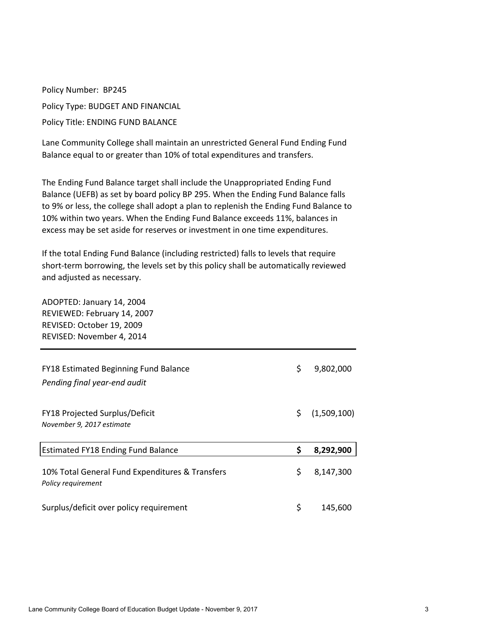Policy Number: BP245 Policy Type: BUDGET AND FINANCIAL Policy Title: ENDING FUND BALANCE

Lane Community College shall maintain an unrestricted General Fund Ending Fund Balance equal to or greater than 10% of total expenditures and transfers.

The Ending Fund Balance target shall include the Unappropriated Ending Fund Balance (UEFB) as set by board policy BP 295. When the Ending Fund Balance falls to 9% or less, the college shall adopt a plan to replenish the Ending Fund Balance to 10% within two years. When the Ending Fund Balance exceeds 11%, balances in excess may be set aside for reserves or investment in one time expenditures.

If the total Ending Fund Balance (including restricted) falls to levels that require short-term borrowing, the levels set by this policy shall be automatically reviewed and adjusted as necessary.

ADOPTED: January 14, 2004 REVIEWED: February 14, 2007 REVISED: October 19, 2009 REVISED: November 4, 2014 FY18 Estimated Beginning Fund Balance  $\frac{1}{5}$  9,802,000 *Pending final year-end audit* FY18 Projected Surplus/Deficit  $\zeta$  (1,509,100) *November 9, 2017 estimate* Estimated FY18 Ending Fund Balance **\$ 8,292,900** 10% Total General Fund Expenditures & Transfers  $\sim$  \$ 8,147,300 *Policy requirement* Surplus/deficit over policy requirement  $\zeta = 145,600$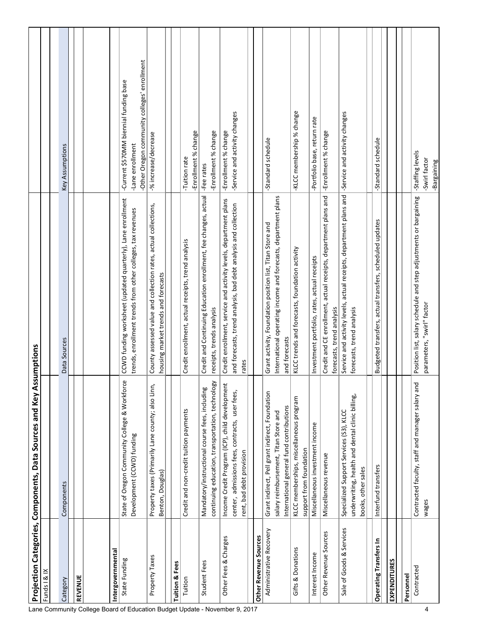|                              | ∢<br>Projection Categories, Components, Data Sources and Key                                                                         | ssumptions                                                                                                                                   |                                                                                                            |
|------------------------------|--------------------------------------------------------------------------------------------------------------------------------------|----------------------------------------------------------------------------------------------------------------------------------------------|------------------------------------------------------------------------------------------------------------|
| Funds   & IX                 |                                                                                                                                      |                                                                                                                                              |                                                                                                            |
|                              |                                                                                                                                      |                                                                                                                                              |                                                                                                            |
| Category                     | Components                                                                                                                           | Data Sources                                                                                                                                 | Key Assumptions                                                                                            |
| <b>REVENUE</b>               |                                                                                                                                      |                                                                                                                                              |                                                                                                            |
|                              |                                                                                                                                      |                                                                                                                                              |                                                                                                            |
| Intergovernmental            |                                                                                                                                      |                                                                                                                                              |                                                                                                            |
| State Funding                | بهِ<br>State of Oregon Community College & Workford<br>Development (CCWD) funding                                                    | CCWD funding worksheet (updated quarterly), Lane enrollment<br>trends, enrollment trends from other colleges, tax revenues                   | -Other Oregon community colleges' enrollment<br>-Current \$570MM biennial funding base<br>-Lane enrollment |
| Property Taxes               | Property taxes (Primarily Lane county; also Linn,<br>Benton, Douglas)                                                                | County assessed value and collection rates, actual collections,<br>housing market trends and forecasts                                       | -% increase/decrease                                                                                       |
| <b>Tuition &amp; Fees</b>    |                                                                                                                                      |                                                                                                                                              |                                                                                                            |
| Tuition                      | Credit and non-credit tuition payments                                                                                               | Credit enrollment, actual receipts, trend analysis                                                                                           | -Enrollment % change<br>-Tuition rate                                                                      |
| Student Fees                 | continuing education, transportation, technology<br>Mandatory/instructional course fees, including                                   | Credit and Continuing Education enrollment, fee changes, actual<br>receipts, trends analysis                                                 | -Enrollment % change<br>-Fee rates                                                                         |
| Other Fees & Charges         | Income Credit Program (ICP), child development                                                                                       | Credit enrollment, service and activity levels, department plans                                                                             | -Enrollment % change                                                                                       |
|                              | center, admissions fees, contracts, user fees,<br>rent, bad debt provision                                                           | and forecasts, trend analysis, bad debt analysis and collection<br>rates                                                                     | -Service and activity changes                                                                              |
|                              |                                                                                                                                      |                                                                                                                                              |                                                                                                            |
| <b>Other Revenue Sources</b> |                                                                                                                                      |                                                                                                                                              |                                                                                                            |
| Administrative Recovery      | Grant indirect, Pell grant indirect, Foundation<br>International general fund contributions<br>salary reimbursement, Titan Store and | International operating income and forecasts, department plans<br>Grant activity, Foundation position list, Titan Store and<br>and forecasts | -Standard schedule                                                                                         |
| Gifts & Donations            | KLCC memberships, miscellaneous program<br>support from foundation                                                                   | KLCC trends and forecasts, foundation activity                                                                                               | -KLCC membership % change                                                                                  |
| Interest Income              | Miscellaneous investment income                                                                                                      | Investment portfolio, rates, actual receipts                                                                                                 | -Portfolio base, return rate                                                                               |
| Other Revenue Sources        | Miscellaneous revenue                                                                                                                | Credit and CE enrollment, actual receipts, department plans and<br>forecasts, trend analysis                                                 | -Enrollment % change                                                                                       |
| Sale of Goods & Services     | Specialized Support Services (S3), KLCC                                                                                              | Service and activity levels, actual receipts, department plans and                                                                           | -Service and activity changes                                                                              |
|                              | underwriting, health and dental clinic billing,<br>books, other sales                                                                | forecasts, trend analysis                                                                                                                    |                                                                                                            |
|                              |                                                                                                                                      |                                                                                                                                              |                                                                                                            |
| Operating Transfers In       | Interfund transfers                                                                                                                  | Budgeted transfers, actual transfers, scheduled updates                                                                                      | -Standard schedule                                                                                         |
| <b>EXPENDITURES</b>          |                                                                                                                                      |                                                                                                                                              |                                                                                                            |
| Personnel                    |                                                                                                                                      |                                                                                                                                              |                                                                                                            |
| Contracted                   | Contracted faculty, staff and manager salary and<br>wages                                                                            | Position list, salary schedule and step adjustments or bargaining<br>parameters, "swirl" factor                                              | -Staffing levels<br>-Swirl factor<br>-Bargaining                                                           |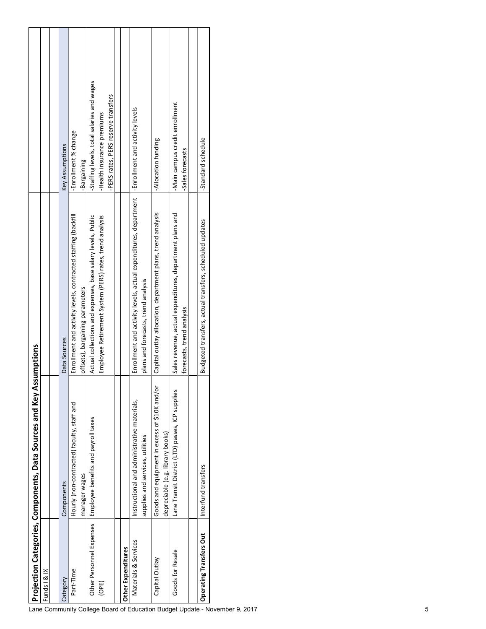|                                | Projection Categories, Components, Data Sources and Key Assumptions               |                                                                                                                        |                                                                                                                 |
|--------------------------------|-----------------------------------------------------------------------------------|------------------------------------------------------------------------------------------------------------------------|-----------------------------------------------------------------------------------------------------------------|
| Funds   & IX                   |                                                                                   |                                                                                                                        |                                                                                                                 |
|                                |                                                                                   |                                                                                                                        |                                                                                                                 |
| Category                       | Components                                                                        | Data Sources                                                                                                           | Key Assumptions                                                                                                 |
| Part-Time                      | Hourly (non-contracted) faculty, staff and<br>manager wages                       | Enrollment and activity levels, contracted staffing (backfill<br>offsets), bargaining parameters                       | -Enrollment % change<br>Bargaining                                                                              |
| (OPE)                          | Other Personnel Expenses   Employee benefits and payroll taxes                    | Actual collections and expenses, base salary levels, Public<br>Employee Retirement System (PERS) rates, trend analysis | -Staffing levels, total salaries and wages<br>-PERS rates, PERS reserve transfers<br>-Health insurance premiums |
|                                |                                                                                   |                                                                                                                        |                                                                                                                 |
| Other Expenditures             |                                                                                   |                                                                                                                        |                                                                                                                 |
| Materials & Services           | Instructional and administrative materials,<br>supplies and services, utilities   | Enrollment and activity levels, actual expenditures, department<br>plans and forecasts, trend analysis                 | -Enrollment and activity levels                                                                                 |
| Capital Outlay                 | Goods and equipment in excess of \$10K and/or<br>depreciable (e.g. library books) | Capital outlay allocation, department plans, trend analysis                                                            | -Allocation funding                                                                                             |
| Goods for Resale               | Lane Transit District (LTD) passes, ICP supplies                                  | Sales revenue, actual expenditures, department plans and<br>forecasts, trend analysis                                  | -Main campus credit enrollment<br>-Sales forecasts                                                              |
|                                |                                                                                   |                                                                                                                        |                                                                                                                 |
| <b>Operating Transfers Out</b> | Interfund transfers                                                               | Budgeted transfers, actual transfers, scheduled updates                                                                | -Standard schedule                                                                                              |
|                                |                                                                                   |                                                                                                                        |                                                                                                                 |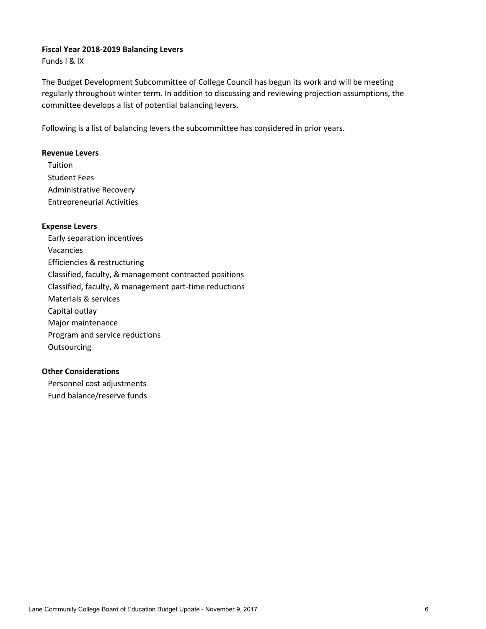### **Fiscal Year 2018-2019 Balancing Levers**

Funds I & IX

The Budget Development Subcommittee of College Council has begun its work and will be meeting regularly throughout winter term. In addition to discussing and reviewing projection assumptions, the committee develops a list of potential balancing levers.

Following is a list of balancing levers the subcommittee has considered in prior years.

### **Revenue Levers**

Tuition Student Fees Administrative Recovery Entrepreneurial Activities

### **Expense Levers**

Early separation incentives Vacancies Efficiencies & restructuring Classified, faculty, & management contracted positions Classified, faculty, & management part-time reductions Materials & services Capital outlay Major maintenance Program and service reductions **Outsourcing** 

## **Other Considerations**

Personnel cost adjustments Fund balance/reserve funds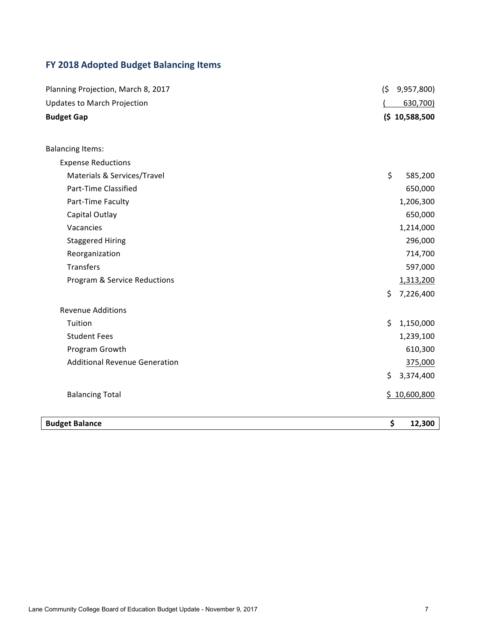# **FY 2018 Adopted Budget Balancing Items**

| Planning Projection, March 8, 2017   | (5)<br>9,957,800) |
|--------------------------------------|-------------------|
| <b>Updates to March Projection</b>   | 630,700)          |
| <b>Budget Gap</b>                    | (5 10, 588, 500)  |
|                                      |                   |
| <b>Balancing Items:</b>              |                   |
| <b>Expense Reductions</b>            |                   |
| Materials & Services/Travel          | \$<br>585,200     |
| Part-Time Classified                 | 650,000           |
| Part-Time Faculty                    | 1,206,300         |
| Capital Outlay                       | 650,000           |
| Vacancies                            | 1,214,000         |
| <b>Staggered Hiring</b>              | 296,000           |
| Reorganization                       | 714,700           |
| <b>Transfers</b>                     | 597,000           |
| Program & Service Reductions         | 1,313,200         |
|                                      | \$<br>7,226,400   |
| <b>Revenue Additions</b>             |                   |
| Tuition                              | \$<br>1,150,000   |
| <b>Student Fees</b>                  | 1,239,100         |
| Program Growth                       | 610,300           |
| <b>Additional Revenue Generation</b> | 375,000           |
|                                      | 3,374,400<br>\$   |
| <b>Balancing Total</b>               | \$10,600,800      |
| <b>Budget Balance</b>                | \$<br>12,300      |